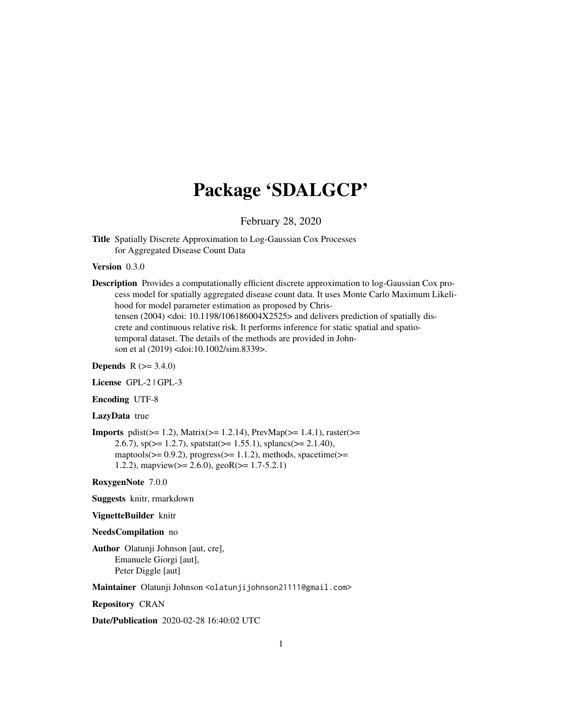# Package 'SDALGCP'

February 28, 2020

<span id="page-0-0"></span>Title Spatially Discrete Approximation to Log-Gaussian Cox Processes for Aggregated Disease Count Data

# Version 0.3.0

Description Provides a computationally efficient discrete approximation to log-Gaussian Cox process model for spatially aggregated disease count data. It uses Monte Carlo Maximum Likelihood for model parameter estimation as proposed by Christensen (2004) <doi: 10.1198/106186004X2525> and delivers prediction of spatially discrete and continuous relative risk. It performs inference for static spatial and spatiotemporal dataset. The details of the methods are provided in Johnson et al (2019) <doi:10.1002/sim.8339>.

**Depends** R  $(>= 3.4.0)$ 

License GPL-2 | GPL-3

Encoding UTF-8

#### LazyData true

**Imports** pdist( $>= 1.2$ ), Matrix( $>= 1.2.14$ ), PrevMap( $>= 1.4.1$ ), raster( $>=$ 2.6.7),  $sp(>= 1.2.7)$ ,  $spatstat(>= 1.55.1)$ ,  $splancs(>= 2.1.40)$ , maptools( $>= 0.9.2$ ), progress( $>= 1.1.2$ ), methods, spacetime( $>=$ 1.2.2), mapview( $>= 2.6.0$ ), geoR( $>= 1.7-5.2.1$ )

RoxygenNote 7.0.0

Suggests knitr, rmarkdown

# VignetteBuilder knitr

#### NeedsCompilation no

Author Olatunji Johnson [aut, cre], Emanuele Giorgi [aut], Peter Diggle [aut]

Maintainer Olatunji Johnson <olatunjijohnson21111@gmail.com>

Repository CRAN

Date/Publication 2020-02-28 16:40:02 UTC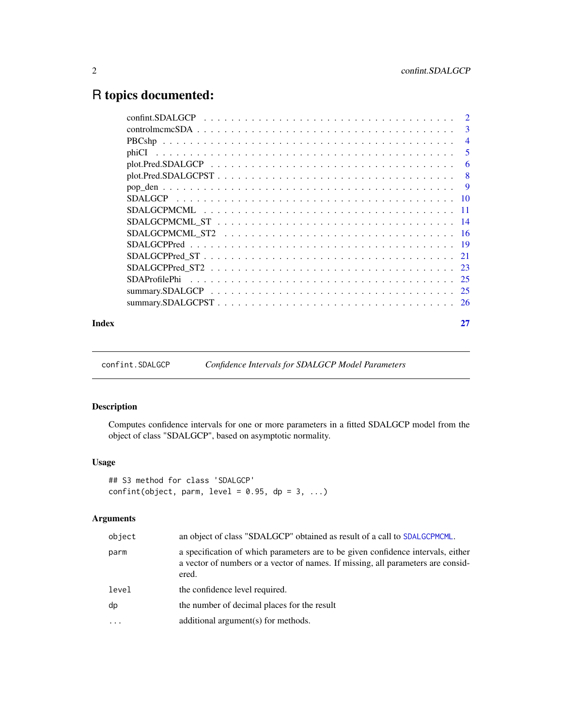# <span id="page-1-0"></span>R topics documented:

| Index |  |
|-------|--|

confint.SDALGCP *Confidence Intervals for SDALGCP Model Parameters*

# Description

Computes confidence intervals for one or more parameters in a fitted SDALGCP model from the object of class "SDALGCP", based on asymptotic normality.

# Usage

```
## S3 method for class 'SDALGCP'
confint(object, parm, level = 0.95, dp = 3, ...)
```

| object   | an object of class "SDALGCP" obtained as result of a call to SDALGCPMCML.                                                                                                     |
|----------|-------------------------------------------------------------------------------------------------------------------------------------------------------------------------------|
| parm     | a specification of which parameters are to be given confidence intervals, either<br>a vector of numbers or a vector of names. If missing, all parameters are consid-<br>ered. |
| level    | the confidence level required.                                                                                                                                                |
| dp       | the number of decimal places for the result                                                                                                                                   |
| $\cdots$ | additional argument(s) for methods.                                                                                                                                           |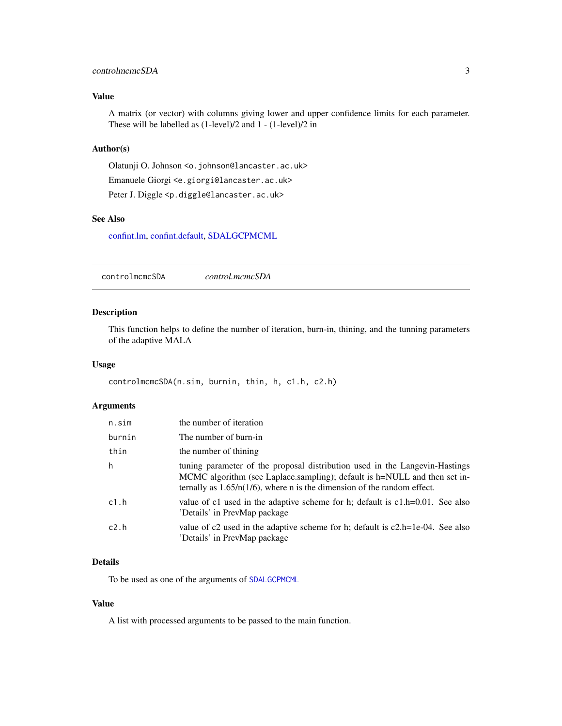# <span id="page-2-0"></span>controlmcmcSDA 3

# Value

A matrix (or vector) with columns giving lower and upper confidence limits for each parameter. These will be labelled as (1-level)/2 and 1 - (1-level)/2 in

# Author(s)

Olatunji O. Johnson <o.johnson@lancaster.ac.uk> Emanuele Giorgi <e.giorgi@lancaster.ac.uk> Peter J. Diggle <p.diggle@lancaster.ac.uk>

### See Also

[confint.lm,](#page-0-0) [confint.default,](#page-0-0) [SDALGCPMCML](#page-10-1)

<span id="page-2-1"></span>controlmcmcSDA *control.mcmcSDA*

# Description

This function helps to define the number of iteration, burn-in, thining, and the tunning parameters of the adaptive MALA

#### Usage

controlmcmcSDA(n.sim, burnin, thin, h, c1.h, c2.h)

#### Arguments

| n.sim  | the number of iteration                                                                                                                                                                                                                |
|--------|----------------------------------------------------------------------------------------------------------------------------------------------------------------------------------------------------------------------------------------|
| burnin | The number of burn-in                                                                                                                                                                                                                  |
| thin   | the number of thining                                                                                                                                                                                                                  |
| h      | tuning parameter of the proposal distribution used in the Langevin-Hastings<br>MCMC algorithm (see Laplace.sampling); default is h=NULL and then set in-<br>ternally as $1.65/n(1/6)$ , where n is the dimension of the random effect. |
| c1.h   | value of c1 used in the adaptive scheme for h; default is $c1.h=0.01$ . See also<br>'Details' in PrevMap package                                                                                                                       |
| c2.h   | value of c2 used in the adaptive scheme for h; default is $c2.h=1e-04$ . See also<br>'Details' in PrevMap package                                                                                                                      |

# Details

To be used as one of the arguments of [SDALGCPMCML](#page-10-1)

#### Value

A list with processed arguments to be passed to the main function.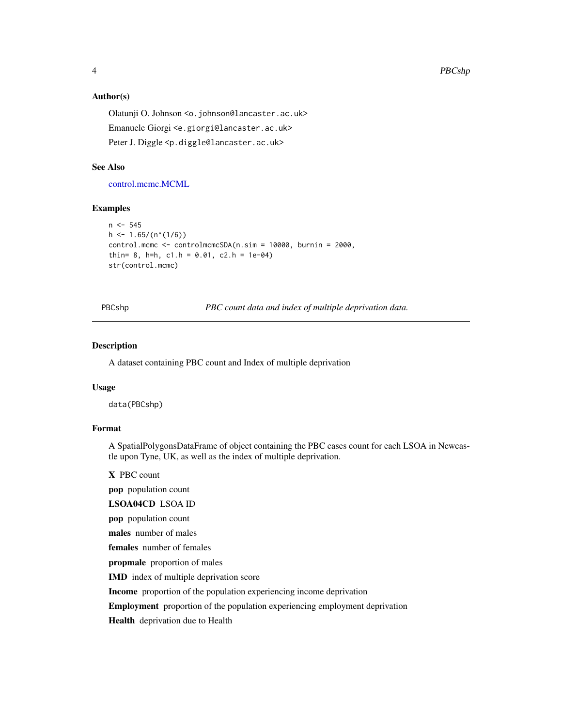#### <span id="page-3-0"></span>Author(s)

Olatunji O. Johnson <o.johnson@lancaster.ac.uk> Emanuele Giorgi <e.giorgi@lancaster.ac.uk> Peter J. Diggle <p.diggle@lancaster.ac.uk>

#### See Also

[control.mcmc.MCML](#page-0-0)

#### Examples

```
n < -545h \le -1.65/(n^*(1/6))control.mcmc <- controlmcmcSDA(n.sim = 10000, burnin = 2000,
thin= 8, h=h, c1.h = 0.01, c2.h = 1e-04)
str(control.mcmc)
```
PBCshp *PBC count data and index of multiple deprivation data.*

#### Description

A dataset containing PBC count and Index of multiple deprivation

#### Usage

data(PBCshp)

# Format

A SpatialPolygonsDataFrame of object containing the PBC cases count for each LSOA in Newcastle upon Tyne, UK, as well as the index of multiple deprivation.

X PBC count

pop population count

LSOA04CD LSOA ID

pop population count

males number of males

females number of females

propmale proportion of males

IMD index of multiple deprivation score

Income proportion of the population experiencing income deprivation

Employment proportion of the population experiencing employment deprivation

Health deprivation due to Health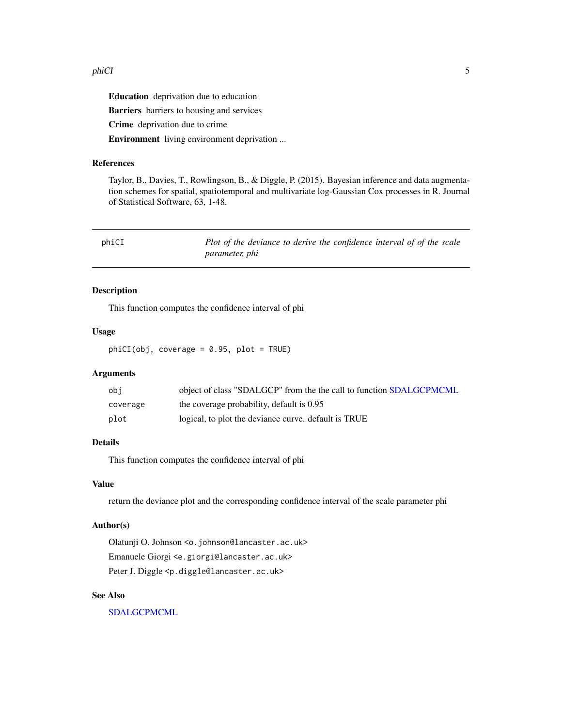#### <span id="page-4-0"></span>phiCI 5

Education deprivation due to education Barriers barriers to housing and services Crime deprivation due to crime Environment living environment deprivation ...

# References

Taylor, B., Davies, T., Rowlingson, B., & Diggle, P. (2015). Bayesian inference and data augmentation schemes for spatial, spatiotemporal and multivariate log-Gaussian Cox processes in R. Journal of Statistical Software, 63, 1-48.

| phiCI | Plot of the deviance to derive the confidence interval of of the scale |
|-------|------------------------------------------------------------------------|
|       | <i>parameter, phi</i>                                                  |

# Description

This function computes the confidence interval of phi

# Usage

 $phicI(obj, coverage = 0.95, plot = TRUE)$ 

# Arguments

| obi      | object of class "SDALGCP" from the the call to function SDALGCPMCML |
|----------|---------------------------------------------------------------------|
| coverage | the coverage probability, default is 0.95                           |
| plot     | logical, to plot the deviance curve, default is TRUE                |

#### Details

This function computes the confidence interval of phi

# Value

return the deviance plot and the corresponding confidence interval of the scale parameter phi

#### Author(s)

Olatunji O. Johnson <o.johnson@lancaster.ac.uk> Emanuele Giorgi <e.giorgi@lancaster.ac.uk> Peter J. Diggle <p.diggle@lancaster.ac.uk>

#### See Also

[SDALGCPMCML](#page-10-1)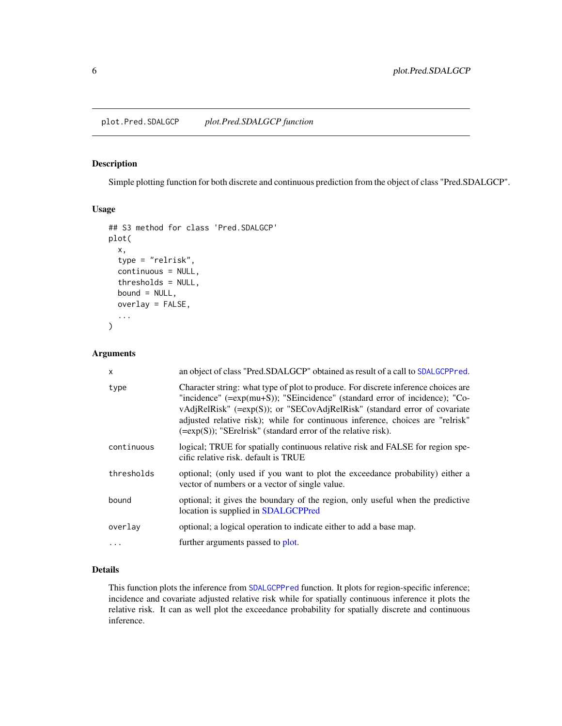#### <span id="page-5-1"></span><span id="page-5-0"></span>Description

Simple plotting function for both discrete and continuous prediction from the object of class "Pred.SDALGCP".

#### Usage

```
## S3 method for class 'Pred.SDALGCP'
plot(
  x,
  type = "relrisk",
  continuous = NULL,
  thresholds = NULL,
 bound = NULL,
  overlay = FALSE,
  ...
)
```
# Arguments

| X          | an object of class "Pred.SDALGCP" obtained as result of a call to SDALGCPPred.                                                                                                                                                                                                                                                                                                                        |
|------------|-------------------------------------------------------------------------------------------------------------------------------------------------------------------------------------------------------------------------------------------------------------------------------------------------------------------------------------------------------------------------------------------------------|
| type       | Character string: what type of plot to produce. For discrete inference choices are<br>"incidence" (=exp(mu+S)); "SEincidence" (standard error of incidence); "Co-<br>vAdjRelRisk" (=exp(S)); or "SECovAdjRelRisk" (standard error of covariate<br>adjusted relative risk); while for continuous inference, choices are "relrisk"<br>$(=\exp(S))$ ; "SErelrisk" (standard error of the relative risk). |
| continuous | logical; TRUE for spatially continuous relative risk and FALSE for region spe-<br>cific relative risk. default is TRUE                                                                                                                                                                                                                                                                                |
| thresholds | optional; (only used if you want to plot the exceedance probability) either a<br>vector of numbers or a vector of single value.                                                                                                                                                                                                                                                                       |
| bound      | optional; it gives the boundary of the region, only useful when the predictive<br>location is supplied in SDALGCPPred                                                                                                                                                                                                                                                                                 |
| overlay    | optional; a logical operation to indicate either to add a base map.                                                                                                                                                                                                                                                                                                                                   |
|            | further arguments passed to plot.                                                                                                                                                                                                                                                                                                                                                                     |
|            |                                                                                                                                                                                                                                                                                                                                                                                                       |

# Details

This function plots the inference from [SDALGCPPred](#page-18-1) function. It plots for region-specific inference; incidence and covariate adjusted relative risk while for spatially continuous inference it plots the relative risk. It can as well plot the exceedance probability for spatially discrete and continuous inference.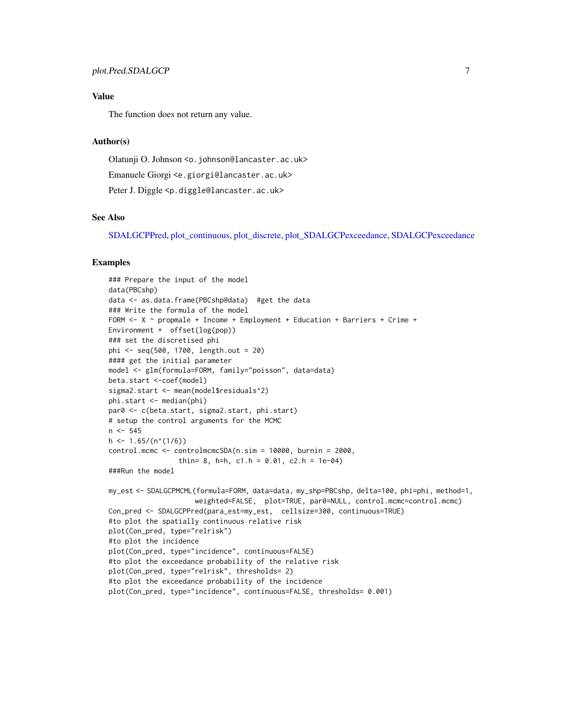# <span id="page-6-0"></span>Value

The function does not return any value.

#### Author(s)

Olatunji O. Johnson <o.johnson@lancaster.ac.uk>

Emanuele Giorgi <e.giorgi@lancaster.ac.uk>

Peter J. Diggle <p.diggle@lancaster.ac.uk>

#### See Also

[SDALGCPPred,](#page-18-1) [plot\\_continuous,](#page-0-0) [plot\\_discrete,](#page-0-0) [plot\\_SDALGCPexceedance,](#page-0-0) [SDALGCPexceedance](#page-0-0)

# Examples

```
### Prepare the input of the model
data(PBCshp)
data <- as.data.frame(PBCshp@data) #get the data
### Write the formula of the model
FORM <- X ~ propmale + Income + Employment + Education + Barriers + Crime +
Environment + offset(log(pop))
### set the discretised phi
phi <- seq(500, 1700, length.out = 20)
#### get the initial parameter
model <- glm(formula=FORM, family="poisson", data=data)
beta.start <-coef(model)
sigma2.start <- mean(model$residuals^2)
phi.start <- median(phi)
par0 <- c(beta.start, sigma2.start, phi.start)
# setup the control arguments for the MCMC
n < -545h \le -1.65/(n^*(1/6))control.mcmc <- controlmcmcSDA(n.sim = 10000, burnin = 2000,
                 thin= 8, h=h, c1.h = 0.01, c2.h = 1e-04)
###Run the model
my_est <- SDALGCPMCML(formula=FORM, data=data, my_shp=PBCshp, delta=100, phi=phi, method=1,
                     weighted=FALSE, plot=TRUE, par0=NULL, control.mcmc=control.mcmc)
Con_pred <- SDALGCPPred(para_est=my_est, cellsize=300, continuous=TRUE)
#to plot the spatially continuous relative risk
plot(Con_pred, type="relrisk")
#to plot the incidence
plot(Con_pred, type="incidence", continuous=FALSE)
#to plot the exceedance probability of the relative risk
plot(Con_pred, type="relrisk", thresholds= 2)
#to plot the exceedance probability of the incidence
plot(Con_pred, type="incidence", continuous=FALSE, thresholds= 0.001)
```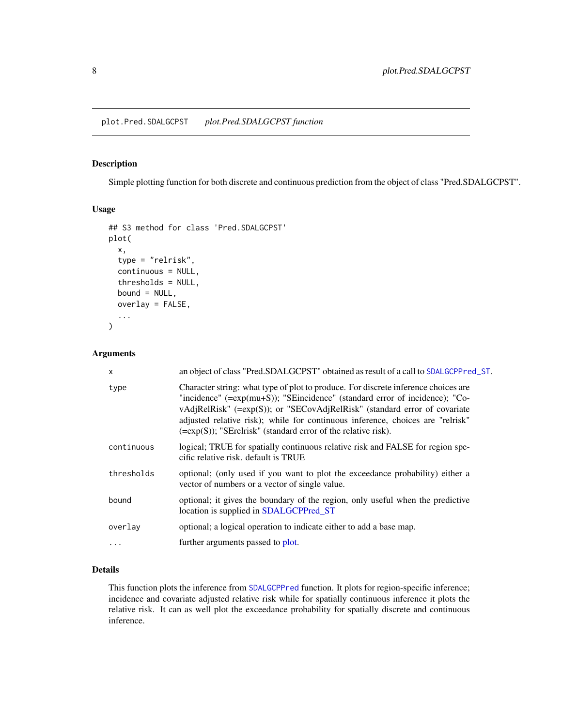#### <span id="page-7-1"></span><span id="page-7-0"></span>Description

Simple plotting function for both discrete and continuous prediction from the object of class "Pred.SDALGCPST".

#### Usage

```
## S3 method for class 'Pred.SDALGCPST'
plot(
  x,
  type = "relrisk",
  continuous = NULL,
  thresholds = NULL,
 bound = NULL,
  overlay = FALSE,
  ...
)
```
# Arguments

| $\mathsf{x}$ | an object of class "Pred.SDALGCPST" obtained as result of a call to SDALGCPPred_ST.                                                                                                                                                                                                                                                                                                                   |
|--------------|-------------------------------------------------------------------------------------------------------------------------------------------------------------------------------------------------------------------------------------------------------------------------------------------------------------------------------------------------------------------------------------------------------|
| type         | Character string: what type of plot to produce. For discrete inference choices are<br>"incidence" (=exp(mu+S)); "SEincidence" (standard error of incidence); "Co-<br>vAdjRelRisk" (=exp(S)); or "SECovAdjRelRisk" (standard error of covariate<br>adjusted relative risk); while for continuous inference, choices are "relrisk"<br>$(=\exp(S))$ ; "SErelrisk" (standard error of the relative risk). |
| continuous   | logical; TRUE for spatially continuous relative risk and FALSE for region spe-<br>cific relative risk, default is TRUE                                                                                                                                                                                                                                                                                |
| thresholds   | optional; (only used if you want to plot the exceedance probability) either a<br>vector of numbers or a vector of single value.                                                                                                                                                                                                                                                                       |
| bound        | optional; it gives the boundary of the region, only useful when the predictive<br>location is supplied in SDALGCPPred_ST                                                                                                                                                                                                                                                                              |
| overlay      | optional; a logical operation to indicate either to add a base map.                                                                                                                                                                                                                                                                                                                                   |
| $\cdots$     | further arguments passed to plot.                                                                                                                                                                                                                                                                                                                                                                     |
|              |                                                                                                                                                                                                                                                                                                                                                                                                       |

# Details

This function plots the inference from [SDALGCPPred](#page-18-1) function. It plots for region-specific inference; incidence and covariate adjusted relative risk while for spatially continuous inference it plots the relative risk. It can as well plot the exceedance probability for spatially discrete and continuous inference.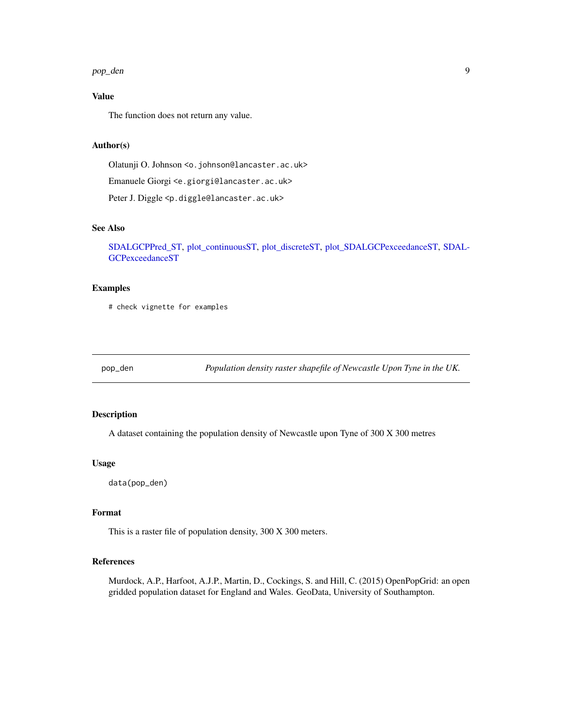#### <span id="page-8-0"></span>pop\_den 9

# Value

The function does not return any value.

# Author(s)

Olatunji O. Johnson <o.johnson@lancaster.ac.uk>

Emanuele Giorgi <e.giorgi@lancaster.ac.uk>

Peter J. Diggle <p.diggle@lancaster.ac.uk>

# See Also

[SDALGCPPred\\_ST,](#page-20-1) [plot\\_continuousST,](#page-0-0) [plot\\_discreteST,](#page-0-0) [plot\\_SDALGCPexceedanceST,](#page-0-0) [SDAL-](#page-0-0)[GCPexceedanceST](#page-0-0)

# Examples

# check vignette for examples

pop\_den *Population density raster shapefile of Newcastle Upon Tyne in the UK.*

# Description

A dataset containing the population density of Newcastle upon Tyne of 300 X 300 metres

#### Usage

data(pop\_den)

#### Format

This is a raster file of population density, 300 X 300 meters.

# References

Murdock, A.P., Harfoot, A.J.P., Martin, D., Cockings, S. and Hill, C. (2015) OpenPopGrid: an open gridded population dataset for England and Wales. GeoData, University of Southampton.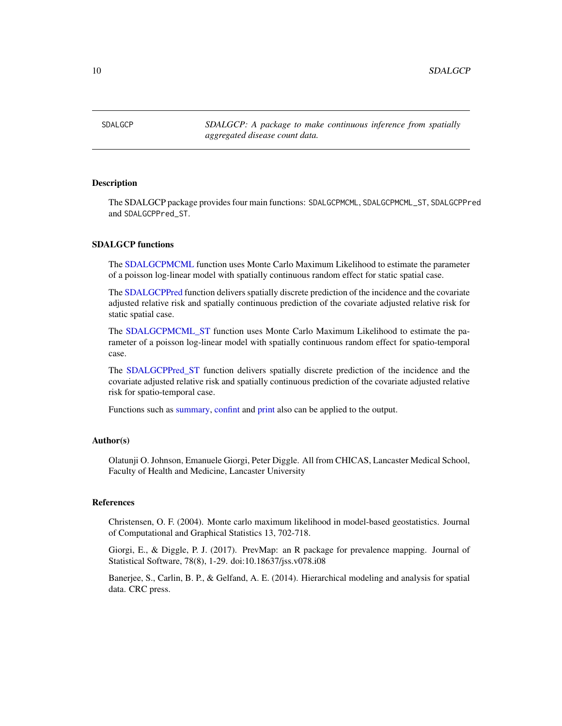<span id="page-9-0"></span>SDALGCP *SDALGCP: A package to make continuous inference from spatially aggregated disease count data.*

#### Description

The SDALGCP package provides four main functions: SDALGCPMCML, SDALGCPMCML\_ST, SDALGCPPred and SDALGCPPred\_ST.

#### SDALGCP functions

The [SDALGCPMCML](#page-10-1) function uses Monte Carlo Maximum Likelihood to estimate the parameter of a poisson log-linear model with spatially continuous random effect for static spatial case.

The [SDALGCPPred](#page-18-1) function delivers spatially discrete prediction of the incidence and the covariate adjusted relative risk and spatially continuous prediction of the covariate adjusted relative risk for static spatial case.

The [SDALGCPMCML\\_ST](#page-13-1) function uses Monte Carlo Maximum Likelihood to estimate the parameter of a poisson log-linear model with spatially continuous random effect for spatio-temporal case.

The [SDALGCPPred\\_ST](#page-20-1) function delivers spatially discrete prediction of the incidence and the covariate adjusted relative risk and spatially continuous prediction of the covariate adjusted relative risk for spatio-temporal case.

Functions such as [summary,](#page-0-0) [confint](#page-0-0) and [print](#page-0-0) also can be applied to the output.

#### Author(s)

Olatunji O. Johnson, Emanuele Giorgi, Peter Diggle. All from CHICAS, Lancaster Medical School, Faculty of Health and Medicine, Lancaster University

#### References

Christensen, O. F. (2004). Monte carlo maximum likelihood in model-based geostatistics. Journal of Computational and Graphical Statistics 13, 702-718.

Giorgi, E., & Diggle, P. J. (2017). PrevMap: an R package for prevalence mapping. Journal of Statistical Software, 78(8), 1-29. doi:10.18637/jss.v078.i08

Banerjee, S., Carlin, B. P., & Gelfand, A. E. (2014). Hierarchical modeling and analysis for spatial data. CRC press.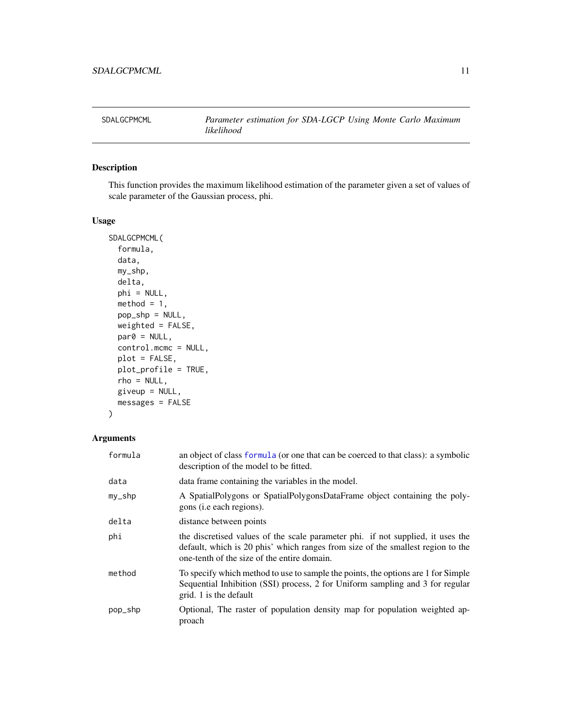<span id="page-10-1"></span><span id="page-10-0"></span>

# Description

This function provides the maximum likelihood estimation of the parameter given a set of values of scale parameter of the Gaussian process, phi.

#### Usage

```
SDALGCPMCML(
  formula,
  data,
 my_shp,
  delta,
 phi = NULL,
 method = 1,
 pop_shp = NULL,
 weighted = FALSE,
 par@ = NULL,control.mcmc = NULL,
 plot = FALSE,
 plot_profile = TRUE,
  rho = NULL,
  giveup = NULL,
 messages = FALSE
)
```

| formula | an object of class formula (or one that can be coerced to that class): a symbolic<br>description of the model to be fitted.                                                                                       |
|---------|-------------------------------------------------------------------------------------------------------------------------------------------------------------------------------------------------------------------|
| data    | data frame containing the variables in the model.                                                                                                                                                                 |
| my_shp  | A SpatialPolygons or SpatialPolygonsDataFrame object containing the poly-<br>gons ( <i>i.e.</i> each regions).                                                                                                    |
| delta   | distance between points                                                                                                                                                                                           |
| phi     | the discretised values of the scale parameter phi. if not supplied, it uses the<br>default, which is 20 phis' which ranges from size of the smallest region to the<br>one-tenth of the size of the entire domain. |
| method  | To specify which method to use to sample the points, the options are 1 for Simple<br>Sequential Inhibition (SSI) process, 2 for Uniform sampling and 3 for regular<br>grid. 1 is the default                      |
| pop_shp | Optional, The raster of population density map for population weighted ap-<br>proach                                                                                                                              |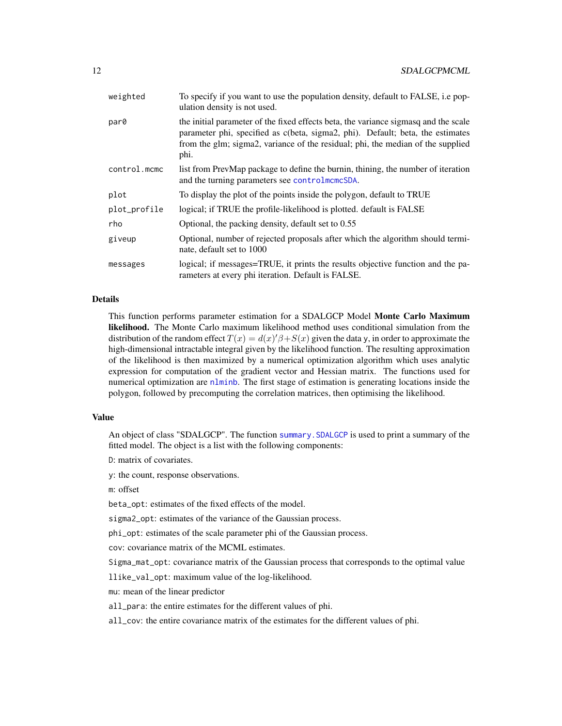<span id="page-11-0"></span>

| weighted     | To specify if you want to use the population density, default to FALSE, i.e pop-<br>ulation density is not used.                                                                                                                                                 |
|--------------|------------------------------------------------------------------------------------------------------------------------------------------------------------------------------------------------------------------------------------------------------------------|
| par0         | the initial parameter of the fixed effects beta, the variance sigmasq and the scale<br>parameter phi, specified as c(beta, sigma2, phi). Default; beta, the estimates<br>from the glm; sigma2, variance of the residual; phi, the median of the supplied<br>phi. |
| control.mcmc | list from PrevMap package to define the burnin, thining, the number of iteration<br>and the turning parameters see controlments DA.                                                                                                                              |
| plot         | To display the plot of the points inside the polygon, default to TRUE                                                                                                                                                                                            |
| plot_profile | logical; if TRUE the profile-likelihood is plotted. default is FALSE                                                                                                                                                                                             |
| rho          | Optional, the packing density, default set to 0.55                                                                                                                                                                                                               |
| giveup       | Optional, number of rejected proposals after which the algorithm should termi-<br>nate, default set to 1000                                                                                                                                                      |
| messages     | logical; if messages=TRUE, it prints the results objective function and the pa-<br>rameters at every phi iteration. Default is FALSE.                                                                                                                            |

# Details

This function performs parameter estimation for a SDALGCP Model Monte Carlo Maximum likelihood. The Monte Carlo maximum likelihood method uses conditional simulation from the distribution of the random effect  $T(x) = d(x)/\beta + S(x)$  given the data y, in order to approximate the high-dimensional intractable integral given by the likelihood function. The resulting approximation of the likelihood is then maximized by a numerical optimization algorithm which uses analytic expression for computation of the gradient vector and Hessian matrix. The functions used for numerical optimization are [nlminb](#page-0-0). The first stage of estimation is generating locations inside the polygon, followed by precomputing the correlation matrices, then optimising the likelihood.

#### Value

An object of class "SDALGCP". The function [summary.SDALGCP](#page-24-1) is used to print a summary of the fitted model. The object is a list with the following components:

D: matrix of covariates.

y: the count, response observations.

m: offset

beta\_opt: estimates of the fixed effects of the model.

sigma2\_opt: estimates of the variance of the Gaussian process.

phi\_opt: estimates of the scale parameter phi of the Gaussian process.

cov: covariance matrix of the MCML estimates.

Sigma\_mat\_opt: covariance matrix of the Gaussian process that corresponds to the optimal value

llike\_val\_opt: maximum value of the log-likelihood.

mu: mean of the linear predictor

all\_para: the entire estimates for the different values of phi.

all\_cov: the entire covariance matrix of the estimates for the different values of phi.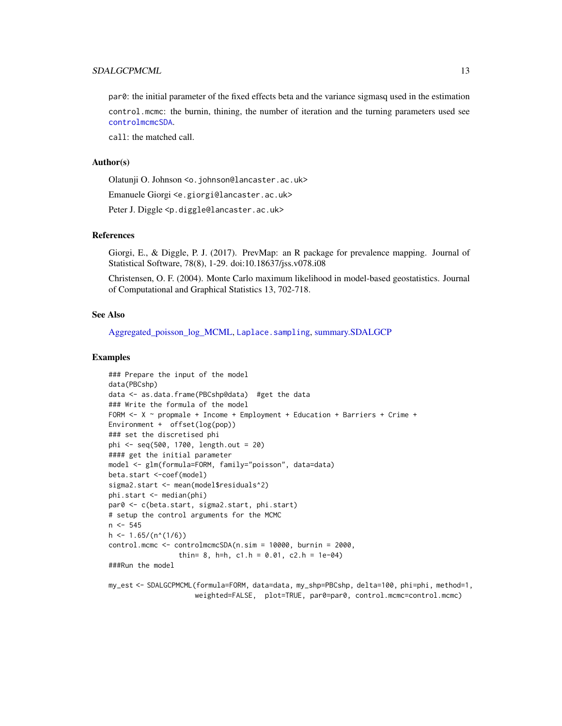# <span id="page-12-0"></span>SDALGCPMCML 13

par0: the initial parameter of the fixed effects beta and the variance sigmasq used in the estimation control.mcmc: the burnin, thining, the number of iteration and the turning parameters used see [controlmcmcSDA](#page-2-1).

call: the matched call.

#### Author(s)

Olatunji O. Johnson <o.johnson@lancaster.ac.uk>

Emanuele Giorgi <e.giorgi@lancaster.ac.uk>

Peter J. Diggle <p.diggle@lancaster.ac.uk>

#### References

Giorgi, E., & Diggle, P. J. (2017). PrevMap: an R package for prevalence mapping. Journal of Statistical Software, 78(8), 1-29. doi:10.18637/jss.v078.i08

Christensen, O. F. (2004). Monte Carlo maximum likelihood in model-based geostatistics. Journal of Computational and Graphical Statistics 13, 702-718.

#### See Also

[Aggregated\\_poisson\\_log\\_MCML,](#page-0-0) [Laplace.sampling](#page-0-0), [summary.SDALGCP](#page-24-1)

#### Examples

```
### Prepare the input of the model
data(PBCshp)
data <- as.data.frame(PBCshp@data) #get the data
### Write the formula of the model
FORM \leq X \sim propmale + Income + Employment + Education + Barriers + Crime +
Environment + offset(log(pop))
### set the discretised phi
phi <- seq(500, 1700, length.out = 20)
#### get the initial parameter
model <- glm(formula=FORM, family="poisson", data=data)
beta.start <-coef(model)
sigma2.start <- mean(model$residuals^2)
phi.start <- median(phi)
par0 <- c(beta.start, sigma2.start, phi.start)
# setup the control arguments for the MCMC
n <- 545
h \le -1.65/(n^*(1/6))control.mcmc <- controlmcmcSDA(n.sim = 10000, burnin = 2000,
                 thin= 8, h=h, c1.h = 0.01, c2.h = 1e-04)
###Run the model
my_est <- SDALGCPMCML(formula=FORM, data=data, my_shp=PBCshp, delta=100, phi=phi, method=1,
```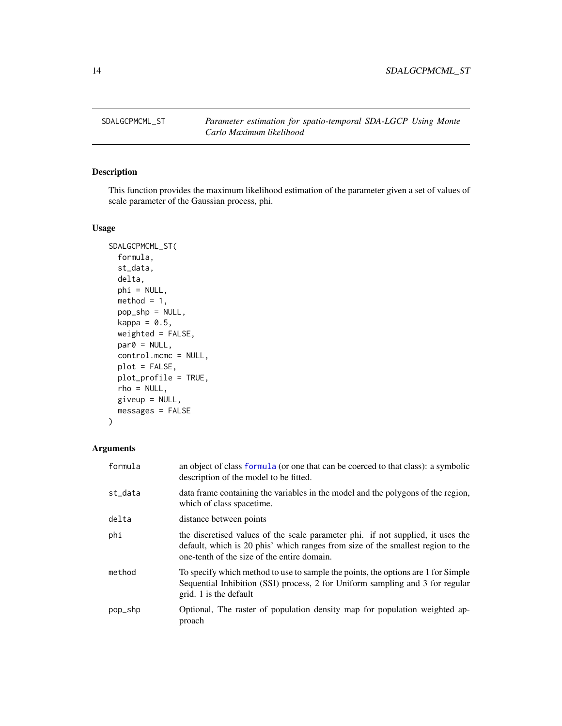<span id="page-13-1"></span><span id="page-13-0"></span>

# Description

This function provides the maximum likelihood estimation of the parameter given a set of values of scale parameter of the Gaussian process, phi.

# Usage

```
SDALGCPMCML_ST(
  formula,
  st_data,
 delta,
 phi = NULL,
 method = 1,pop_shp = NULL,
 kappa = 0.5,
 weighted = FALSE,
 par@ = NULL,control.mcmc = NULL,
 plot = FALSE,
 plot_profile = TRUE,
  rho = NULL,
 given = NULL,messages = FALSE
)
```

| formula | an object of class formula (or one that can be coerced to that class): a symbolic<br>description of the model to be fitted.                                                                                       |
|---------|-------------------------------------------------------------------------------------------------------------------------------------------------------------------------------------------------------------------|
| st_data | data frame containing the variables in the model and the polygons of the region,<br>which of class spacetime.                                                                                                     |
| delta   | distance between points                                                                                                                                                                                           |
| phi     | the discretised values of the scale parameter phi. if not supplied, it uses the<br>default, which is 20 phis' which ranges from size of the smallest region to the<br>one-tenth of the size of the entire domain. |
| method  | To specify which method to use to sample the points, the options are 1 for Simple<br>Sequential Inhibition (SSI) process, 2 for Uniform sampling and 3 for regular<br>grid. 1 is the default                      |
| pop_shp | Optional, The raster of population density map for population weighted ap-<br>proach                                                                                                                              |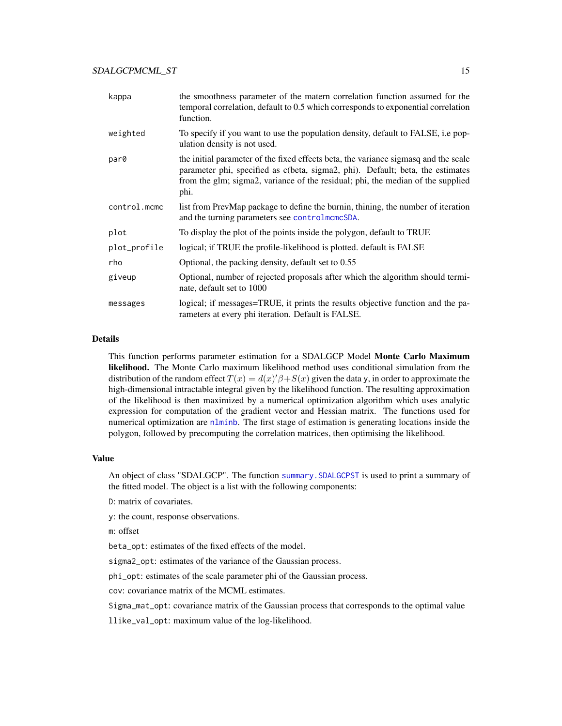<span id="page-14-0"></span>

| kappa        | the smoothness parameter of the matern correlation function assumed for the<br>temporal correlation, default to 0.5 which corresponds to exponential correlation<br>function.                                                                                    |
|--------------|------------------------------------------------------------------------------------------------------------------------------------------------------------------------------------------------------------------------------------------------------------------|
| weighted     | To specify if you want to use the population density, default to FALSE, i.e pop-<br>ulation density is not used.                                                                                                                                                 |
| par0         | the initial parameter of the fixed effects beta, the variance sigmasq and the scale<br>parameter phi, specified as c(beta, sigma2, phi). Default; beta, the estimates<br>from the glm; sigma2, variance of the residual; phi, the median of the supplied<br>phi. |
| control.mcmc | list from PrevMap package to define the burnin, thining, the number of iteration<br>and the turning parameters see controlments DA.                                                                                                                              |
| plot         | To display the plot of the points inside the polygon, default to TRUE                                                                                                                                                                                            |
| plot_profile | logical; if TRUE the profile-likelihood is plotted. default is FALSE                                                                                                                                                                                             |
| rho          | Optional, the packing density, default set to 0.55                                                                                                                                                                                                               |
| giveup       | Optional, number of rejected proposals after which the algorithm should termi-<br>nate, default set to 1000                                                                                                                                                      |
| messages     | logical; if messages=TRUE, it prints the results objective function and the pa-<br>rameters at every phi iteration. Default is FALSE.                                                                                                                            |

# Details

This function performs parameter estimation for a SDALGCP Model Monte Carlo Maximum likelihood. The Monte Carlo maximum likelihood method uses conditional simulation from the distribution of the random effect  $T(x) = d(x)/\beta + S(x)$  given the data y, in order to approximate the high-dimensional intractable integral given by the likelihood function. The resulting approximation of the likelihood is then maximized by a numerical optimization algorithm which uses analytic expression for computation of the gradient vector and Hessian matrix. The functions used for numerical optimization are [nlminb](#page-0-0). The first stage of estimation is generating locations inside the polygon, followed by precomputing the correlation matrices, then optimising the likelihood.

# Value

An object of class "SDALGCP". The function [summary.SDALGCPST](#page-25-1) is used to print a summary of the fitted model. The object is a list with the following components:

D: matrix of covariates.

y: the count, response observations.

m: offset

beta\_opt: estimates of the fixed effects of the model.

sigma2\_opt: estimates of the variance of the Gaussian process.

phi\_opt: estimates of the scale parameter phi of the Gaussian process.

cov: covariance matrix of the MCML estimates.

Sigma\_mat\_opt: covariance matrix of the Gaussian process that corresponds to the optimal value

llike\_val\_opt: maximum value of the log-likelihood.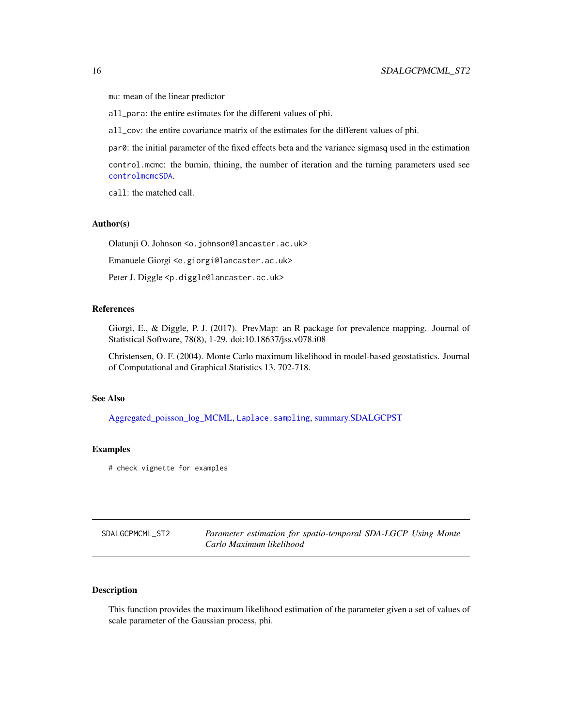<span id="page-15-0"></span>mu: mean of the linear predictor

all\_para: the entire estimates for the different values of phi.

all\_cov: the entire covariance matrix of the estimates for the different values of phi.

par0: the initial parameter of the fixed effects beta and the variance sigmasq used in the estimation

control.mcmc: the burnin, thining, the number of iteration and the turning parameters used see [controlmcmcSDA](#page-2-1).

call: the matched call.

#### Author(s)

Olatunji O. Johnson <o.johnson@lancaster.ac.uk>

Emanuele Giorgi <e.giorgi@lancaster.ac.uk>

Peter J. Diggle <p.diggle@lancaster.ac.uk>

#### References

Giorgi, E., & Diggle, P. J. (2017). PrevMap: an R package for prevalence mapping. Journal of Statistical Software, 78(8), 1-29. doi:10.18637/jss.v078.i08

Christensen, O. F. (2004). Monte Carlo maximum likelihood in model-based geostatistics. Journal of Computational and Graphical Statistics 13, 702-718.

#### See Also

[Aggregated\\_poisson\\_log\\_MCML,](#page-0-0) [Laplace.sampling](#page-0-0), [summary.SDALGCPST](#page-25-1)

#### Examples

# check vignette for examples

| SDALGCPMCML ST2 | Parameter estimation for spatio-temporal SDA-LGCP Using Monte |
|-----------------|---------------------------------------------------------------|
|                 | Carlo Maximum likelihood                                      |

# **Description**

This function provides the maximum likelihood estimation of the parameter given a set of values of scale parameter of the Gaussian process, phi.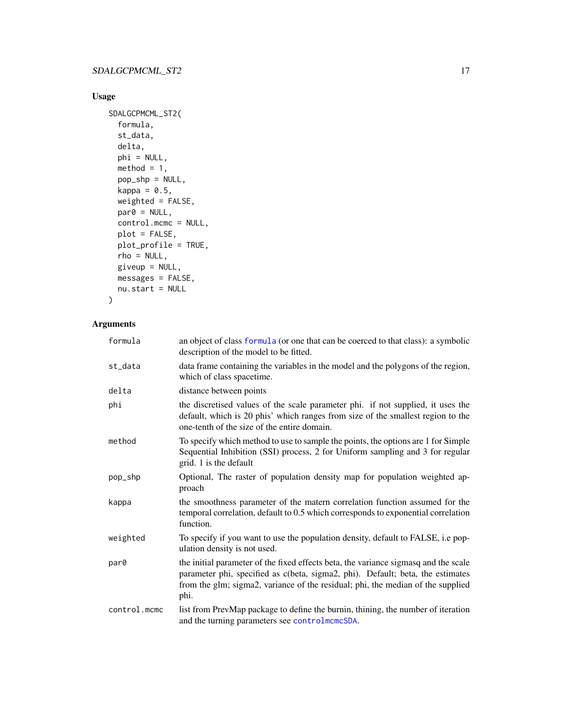# <span id="page-16-0"></span>Usage

```
SDALGCPMCML_ST2(
 formula,
  st_data,
 delta,
 phi = NULL,
 method = 1,
 pop_shp = NULL,
 kappa = 0.5,
 weighted = FALSE,par@ = NULL,control.mcmc = NULL,
 plot = FALSE,
 plot_profile = TRUE,
 rho = NULL,
 giveup = NULL,
 messages = FALSE,
 nu.start = NULL
\mathcal{L}
```

| formula      | an object of class formula (or one that can be coerced to that class): a symbolic<br>description of the model to be fitted.                                                                                                                                      |
|--------------|------------------------------------------------------------------------------------------------------------------------------------------------------------------------------------------------------------------------------------------------------------------|
| st_data      | data frame containing the variables in the model and the polygons of the region,<br>which of class spacetime.                                                                                                                                                    |
| delta        | distance between points                                                                                                                                                                                                                                          |
| phi          | the discretised values of the scale parameter phi. if not supplied, it uses the<br>default, which is 20 phis' which ranges from size of the smallest region to the<br>one-tenth of the size of the entire domain.                                                |
| method       | To specify which method to use to sample the points, the options are 1 for Simple<br>Sequential Inhibition (SSI) process, 2 for Uniform sampling and 3 for regular<br>grid. 1 is the default                                                                     |
| pop_shp      | Optional, The raster of population density map for population weighted ap-<br>proach                                                                                                                                                                             |
| kappa        | the smoothness parameter of the matern correlation function assumed for the<br>temporal correlation, default to 0.5 which corresponds to exponential correlation<br>function.                                                                                    |
| weighted     | To specify if you want to use the population density, default to FALSE, i.e pop-<br>ulation density is not used.                                                                                                                                                 |
| par0         | the initial parameter of the fixed effects beta, the variance sigmasq and the scale<br>parameter phi, specified as c(beta, sigma2, phi). Default; beta, the estimates<br>from the glm; sigma2, variance of the residual; phi, the median of the supplied<br>phi. |
| control.mcmc | list from PrevMap package to define the burnin, thining, the number of iteration<br>and the turning parameters see controlments DA.                                                                                                                              |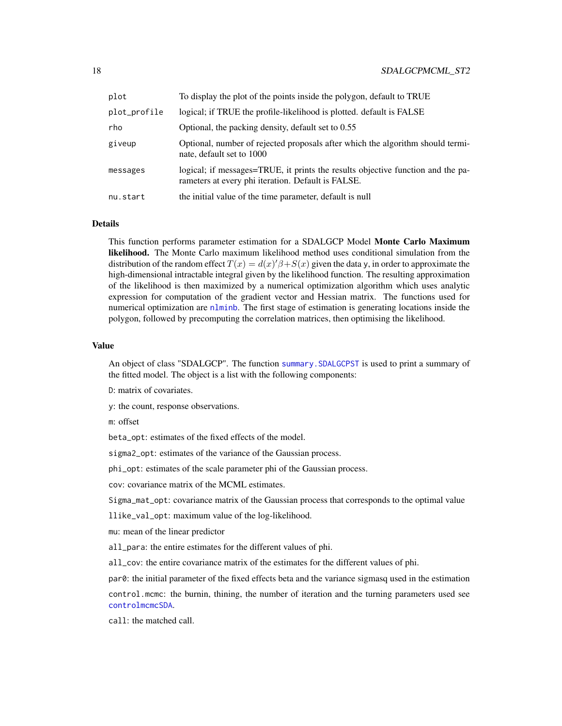<span id="page-17-0"></span>

| plot         | To display the plot of the points inside the polygon, default to TRUE                                                                 |
|--------------|---------------------------------------------------------------------------------------------------------------------------------------|
| plot_profile | logical; if TRUE the profile-likelihood is plotted, default is FALSE                                                                  |
| rho          | Optional, the packing density, default set to 0.55                                                                                    |
| giveup       | Optional, number of rejected proposals after which the algorithm should termi-<br>nate, default set to 1000                           |
| messages     | logical; if messages=TRUE, it prints the results objective function and the pa-<br>rameters at every phi iteration. Default is FALSE. |
| nu.start     | the initial value of the time parameter, default is null                                                                              |

#### Details

This function performs parameter estimation for a SDALGCP Model Monte Carlo Maximum likelihood. The Monte Carlo maximum likelihood method uses conditional simulation from the distribution of the random effect  $T(x) = d(x)/\beta + S(x)$  given the data y, in order to approximate the high-dimensional intractable integral given by the likelihood function. The resulting approximation of the likelihood is then maximized by a numerical optimization algorithm which uses analytic expression for computation of the gradient vector and Hessian matrix. The functions used for numerical optimization are [nlminb](#page-0-0). The first stage of estimation is generating locations inside the polygon, followed by precomputing the correlation matrices, then optimising the likelihood.

#### Value

An object of class "SDALGCP". The function [summary.SDALGCPST](#page-25-1) is used to print a summary of the fitted model. The object is a list with the following components:

- D: matrix of covariates.
- y: the count, response observations.

m: offset

beta\_opt: estimates of the fixed effects of the model.

sigma2\_opt: estimates of the variance of the Gaussian process.

phi\_opt: estimates of the scale parameter phi of the Gaussian process.

cov: covariance matrix of the MCML estimates.

Sigma\_mat\_opt: covariance matrix of the Gaussian process that corresponds to the optimal value

llike\_val\_opt: maximum value of the log-likelihood.

mu: mean of the linear predictor

all\_para: the entire estimates for the different values of phi.

all\_cov: the entire covariance matrix of the estimates for the different values of phi.

par0: the initial parameter of the fixed effects beta and the variance sigmasq used in the estimation control.mcmc: the burnin, thining, the number of iteration and the turning parameters used see [controlmcmcSDA](#page-2-1).

call: the matched call.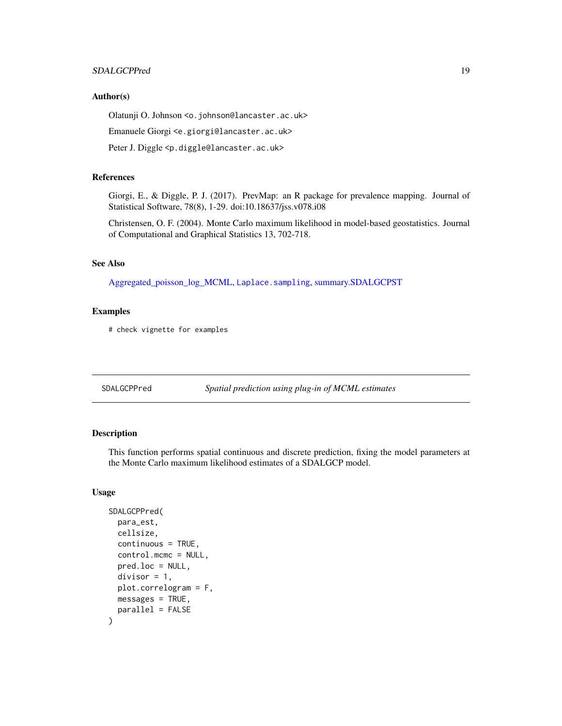# <span id="page-18-0"></span>SDALGCPPred 19

#### Author(s)

Olatunji O. Johnson <o.johnson@lancaster.ac.uk>

Emanuele Giorgi <e.giorgi@lancaster.ac.uk>

Peter J. Diggle <p.diggle@lancaster.ac.uk>

# References

Giorgi, E., & Diggle, P. J. (2017). PrevMap: an R package for prevalence mapping. Journal of Statistical Software, 78(8), 1-29. doi:10.18637/jss.v078.i08

Christensen, O. F. (2004). Monte Carlo maximum likelihood in model-based geostatistics. Journal of Computational and Graphical Statistics 13, 702-718.

#### See Also

[Aggregated\\_poisson\\_log\\_MCML,](#page-0-0) [Laplace.sampling](#page-0-0), [summary.SDALGCPST](#page-25-1)

# Examples

# check vignette for examples

<span id="page-18-1"></span>SDALGCPPred *Spatial prediction using plug-in of MCML estimates*

### Description

This function performs spatial continuous and discrete prediction, fixing the model parameters at the Monte Carlo maximum likelihood estimates of a SDALGCP model.

#### Usage

```
SDALGCPPred(
  para_est,
  cellsize,
  continuous = TRUE,
  control.mcmc = NULL,
  pred.loc = NULL,
  divisor = 1,
  plot.correlogram = F,
 mesages = TRUE,parallel = FALSE
)
```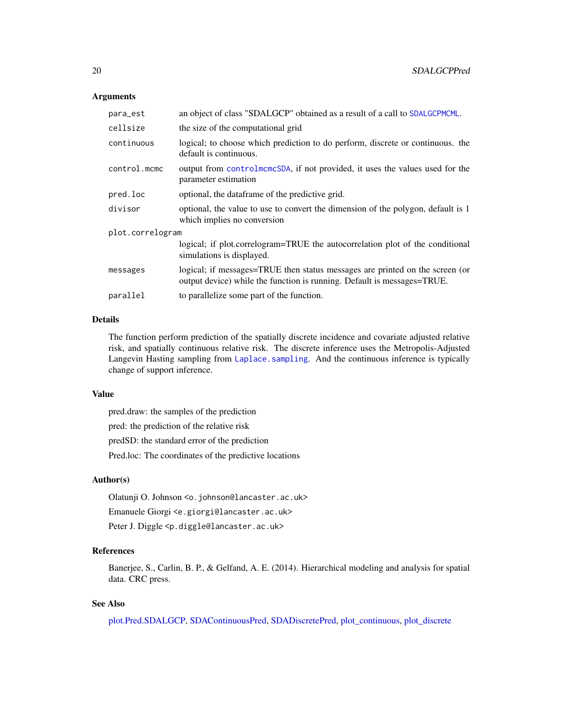#### <span id="page-19-0"></span>**Arguments**

| para_est         | an object of class "SDALGCP" obtained as a result of a call to SDALGCPMCML.                                                                             |
|------------------|---------------------------------------------------------------------------------------------------------------------------------------------------------|
| cellsize         | the size of the computational grid                                                                                                                      |
| continuous       | logical; to choose which prediction to do perform, discrete or continuous. the<br>default is continuous.                                                |
| control.mcmc     | output from controlmcmcSDA, if not provided, it uses the values used for the<br>parameter estimation                                                    |
| pred.loc         | optional, the dataframe of the predictive grid.                                                                                                         |
| divisor          | optional, the value to use to convert the dimension of the polygon, default is 1<br>which implies no conversion                                         |
| plot.correlogram |                                                                                                                                                         |
|                  | logical; if plot.correlogram=TRUE the autocorrelation plot of the conditional<br>simulations is displayed.                                              |
| messages         | logical; if messages=TRUE then status messages are printed on the screen (or<br>output device) while the function is running. Default is messages=TRUE. |
| parallel         | to parallelize some part of the function.                                                                                                               |
|                  |                                                                                                                                                         |

# Details

The function perform prediction of the spatially discrete incidence and covariate adjusted relative risk, and spatially continuous relative risk. The discrete inference uses the Metropolis-Adjusted Langevin Hasting sampling from Laplace. sampling. And the continuous inference is typically change of support inference.

# Value

pred.draw: the samples of the prediction pred: the prediction of the relative risk predSD: the standard error of the prediction Pred.loc: The coordinates of the predictive locations

# Author(s)

Olatunji O. Johnson <o.johnson@lancaster.ac.uk>

Emanuele Giorgi <e.giorgi@lancaster.ac.uk>

Peter J. Diggle <p.diggle@lancaster.ac.uk>

# References

Banerjee, S., Carlin, B. P., & Gelfand, A. E. (2014). Hierarchical modeling and analysis for spatial data. CRC press.

# See Also

[plot.Pred.SDALGCP,](#page-5-1) [SDAContinuousPred,](#page-0-0) [SDADiscretePred,](#page-0-0) [plot\\_continuous,](#page-0-0) [plot\\_discrete](#page-0-0)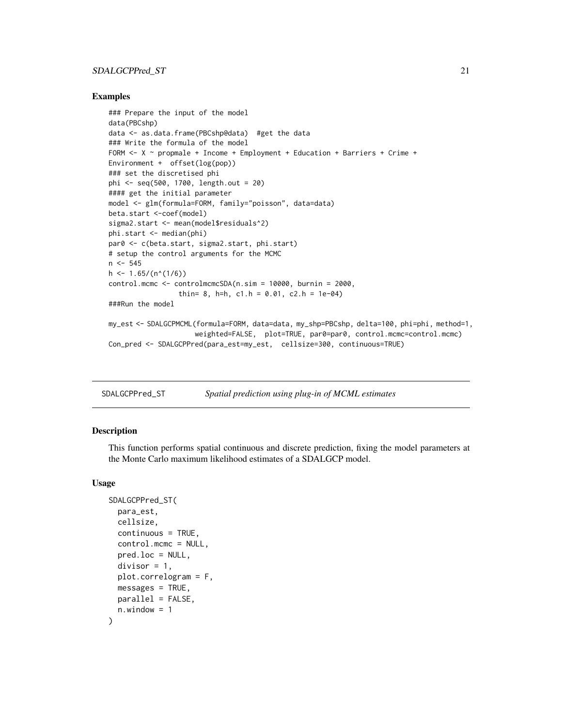# <span id="page-20-0"></span>SDALGCPPred\_ST 21

#### Examples

```
### Prepare the input of the model
data(PBCshp)
data <- as.data.frame(PBCshp@data) #get the data
### Write the formula of the model
FORM \leq X \sim propmale + Income + Employment + Education + Barriers + Crime +
Environment + offset(log(pop))
### set the discretised phi
phi <- seq(500, 1700, length.out = 20)
#### get the initial parameter
model <- glm(formula=FORM, family="poisson", data=data)
beta.start <-coef(model)
sigma2.start <- mean(model$residuals^2)
phi.start <- median(phi)
par0 <- c(beta.start, sigma2.start, phi.start)
# setup the control arguments for the MCMC
n <- 545
h \le -1.65/(n^*(1/6))control.mcmc <- controlmcmcSDA(n.sim = 10000, burnin = 2000,
                 thin= 8, h=h, c1.h = 0.01, c2.h = 1e-04)
###Run the model
my_est <- SDALGCPMCML(formula=FORM, data=data, my_shp=PBCshp, delta=100, phi=phi, method=1,
                     weighted=FALSE, plot=TRUE, par0=par0, control.mcmc=control.mcmc)
Con_pred <- SDALGCPPred(para_est=my_est, cellsize=300, continuous=TRUE)
```
<span id="page-20-1"></span>SDALGCPPred\_ST *Spatial prediction using plug-in of MCML estimates*

#### **Description**

This function performs spatial continuous and discrete prediction, fixing the model parameters at the Monte Carlo maximum likelihood estimates of a SDALGCP model.

#### Usage

```
SDALGCPPred_ST(
 para_est,
  cellsize,
  continuous = TRUE,
  control.mcmc = NULL,
 pred.loc = NULL,
  divisor = 1,
 plot.correlogram = F,
 messages = TRUE,parallel = FALSE,
  n.window = 1
)
```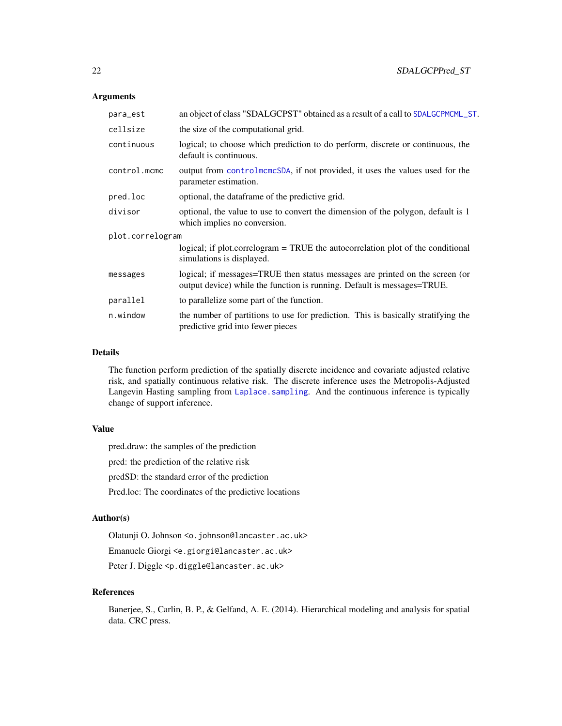#### <span id="page-21-0"></span>Arguments

| para_est         | an object of class "SDALGCPST" obtained as a result of a call to SDALGCPMCML_ST.                                                                        |
|------------------|---------------------------------------------------------------------------------------------------------------------------------------------------------|
| cellsize         | the size of the computational grid.                                                                                                                     |
| continuous       | logical; to choose which prediction to do perform, discrete or continuous, the<br>default is continuous.                                                |
| control.mcmc     | output from controlmcmcSDA, if not provided, it uses the values used for the<br>parameter estimation.                                                   |
| pred.loc         | optional, the dataframe of the predictive grid.                                                                                                         |
| divisor          | optional, the value to use to convert the dimension of the polygon, default is 1<br>which implies no conversion.                                        |
| plot.correlogram |                                                                                                                                                         |
|                  | logical; if plot.correlogram = TRUE the autocorrelation plot of the conditional<br>simulations is displayed.                                            |
| messages         | logical; if messages=TRUE then status messages are printed on the screen (or<br>output device) while the function is running. Default is messages=TRUE. |
| parallel         | to parallelize some part of the function.                                                                                                               |
| n.window         | the number of partitions to use for prediction. This is basically stratifying the<br>predictive grid into fewer pieces                                  |

#### Details

The function perform prediction of the spatially discrete incidence and covariate adjusted relative risk, and spatially continuous relative risk. The discrete inference uses the Metropolis-Adjusted Langevin Hasting sampling from [Laplace.sampling](#page-0-0). And the continuous inference is typically change of support inference.

# Value

pred.draw: the samples of the prediction

pred: the prediction of the relative risk

predSD: the standard error of the prediction

Pred.loc: The coordinates of the predictive locations

#### Author(s)

Olatunji O. Johnson <o.johnson@lancaster.ac.uk>

Emanuele Giorgi <e.giorgi@lancaster.ac.uk>

Peter J. Diggle <p.diggle@lancaster.ac.uk>

# References

Banerjee, S., Carlin, B. P., & Gelfand, A. E. (2014). Hierarchical modeling and analysis for spatial data. CRC press.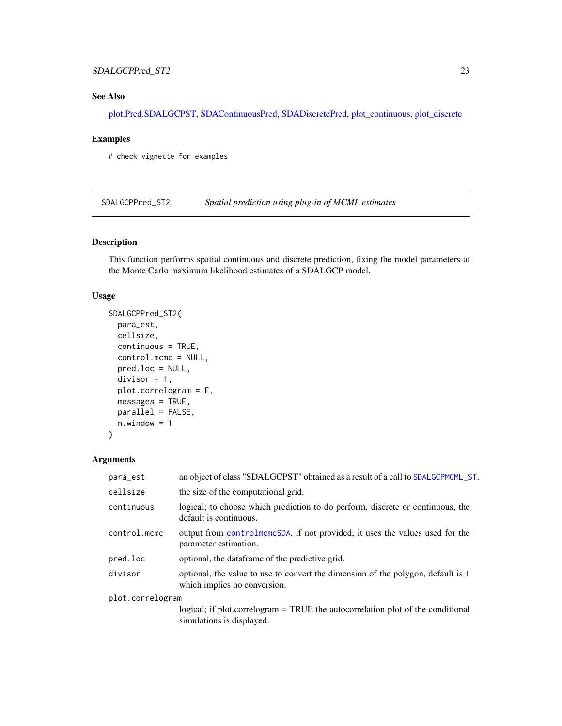# <span id="page-22-0"></span>SDALGCPPred\_ST2 23

# See Also

[plot.Pred.SDALGCPST,](#page-7-1) [SDAContinuousPred,](#page-0-0) [SDADiscretePred,](#page-0-0) [plot\\_continuous,](#page-0-0) [plot\\_discrete](#page-0-0)

#### Examples

# check vignette for examples

SDALGCPPred\_ST2 *Spatial prediction using plug-in of MCML estimates*

# Description

This function performs spatial continuous and discrete prediction, fixing the model parameters at the Monte Carlo maximum likelihood estimates of a SDALGCP model.

#### Usage

```
SDALGCPPred_ST2(
 para_est,
 cellsize,
 continuous = TRUE,
 control.mcmc = NULL,
 pred.loc = NULL,
 divisor = 1,
 plot.correlogram = F,
 mesages = TRUE,parallel = FALSE,
 n.window = 1
)
```

| an object of class "SDALGCPST" obtained as a result of a call to SDALGCPMCML_ST.                                 |
|------------------------------------------------------------------------------------------------------------------|
| the size of the computational grid.                                                                              |
| logical; to choose which prediction to do perform, discrete or continuous, the<br>default is continuous.         |
| output from controlment SDA, if not provided, it uses the values used for the<br>parameter estimation.           |
| optional, the dataframe of the predictive grid.                                                                  |
| optional, the value to use to convert the dimension of the polygon, default is 1<br>which implies no conversion. |
| plot.correlogram                                                                                                 |
| logical; if plot.correlogram = TRUE the autocorrelation plot of the conditional<br>simulations is displayed.     |
|                                                                                                                  |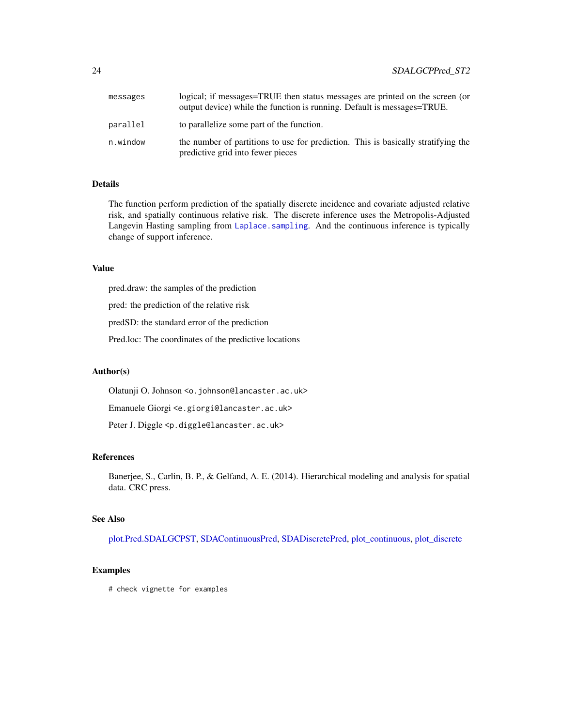<span id="page-23-0"></span>

| messages | logical; if messages=TRUE then status messages are printed on the screen (or<br>output device) while the function is running. Default is messages=TRUE. |
|----------|---------------------------------------------------------------------------------------------------------------------------------------------------------|
| parallel | to parallelize some part of the function.                                                                                                               |
| n.window | the number of partitions to use for prediction. This is basically stratifying the<br>predictive grid into fewer pieces                                  |

#### Details

The function perform prediction of the spatially discrete incidence and covariate adjusted relative risk, and spatially continuous relative risk. The discrete inference uses the Metropolis-Adjusted Langevin Hasting sampling from [Laplace.sampling](#page-0-0). And the continuous inference is typically change of support inference.

#### Value

pred.draw: the samples of the prediction

pred: the prediction of the relative risk

predSD: the standard error of the prediction

Pred.loc: The coordinates of the predictive locations

#### Author(s)

Olatunji O. Johnson <o.johnson@lancaster.ac.uk>

Emanuele Giorgi <e.giorgi@lancaster.ac.uk>

Peter J. Diggle <p.diggle@lancaster.ac.uk>

#### References

Banerjee, S., Carlin, B. P., & Gelfand, A. E. (2014). Hierarchical modeling and analysis for spatial data. CRC press.

# See Also

[plot.Pred.SDALGCPST,](#page-7-1) [SDAContinuousPred,](#page-0-0) [SDADiscretePred,](#page-0-0) [plot\\_continuous,](#page-0-0) [plot\\_discrete](#page-0-0)

#### Examples

# check vignette for examples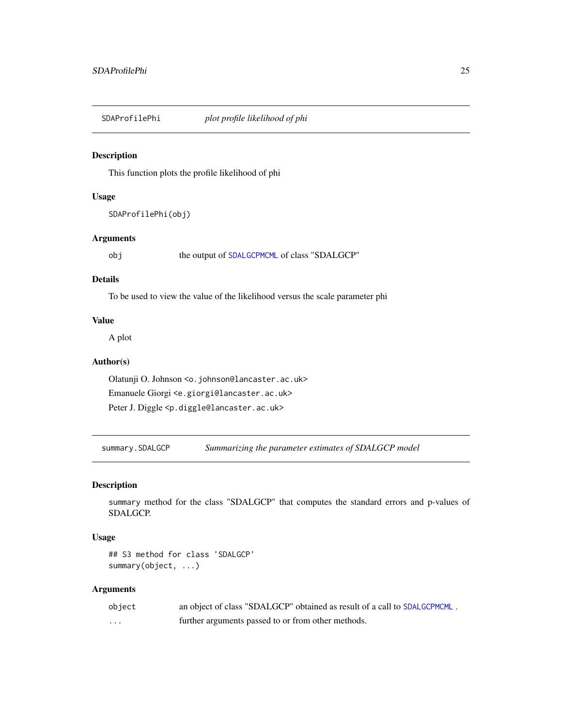<span id="page-24-0"></span>SDAProfilePhi *plot profile likelihood of phi*

# Description

This function plots the profile likelihood of phi

# Usage

SDAProfilePhi(obj)

# Arguments

obj the output of [SDALGCPMCML](#page-10-1) of class "SDALGCP"

# Details

To be used to view the value of the likelihood versus the scale parameter phi

# Value

A plot

# Author(s)

Olatunji O. Johnson <o.johnson@lancaster.ac.uk> Emanuele Giorgi <e.giorgi@lancaster.ac.uk> Peter J. Diggle <p.diggle@lancaster.ac.uk>

<span id="page-24-1"></span>summary.SDALGCP *Summarizing the parameter estimates of SDALGCP model*

# Description

summary method for the class "SDALGCP" that computes the standard errors and p-values of SDALGCP.

#### Usage

## S3 method for class 'SDALGCP' summary(object, ...)

| object | an object of class "SDALGCP" obtained as result of a call to SDALGCPMCML. |
|--------|---------------------------------------------------------------------------|
| .      | further arguments passed to or from other methods.                        |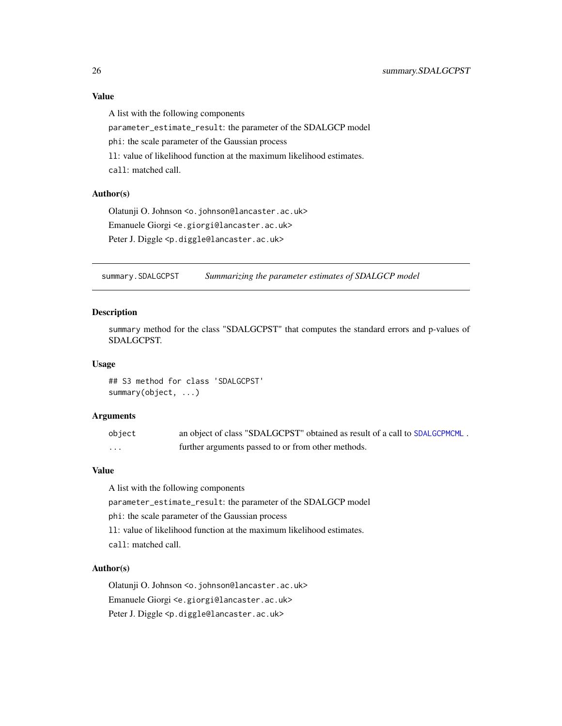# Value

A list with the following components

parameter\_estimate\_result: the parameter of the SDALGCP model

phi: the scale parameter of the Gaussian process

ll: value of likelihood function at the maximum likelihood estimates.

call: matched call.

#### Author(s)

Olatunji O. Johnson <o.johnson@lancaster.ac.uk> Emanuele Giorgi <e.giorgi@lancaster.ac.uk> Peter J. Diggle <p.diggle@lancaster.ac.uk>

<span id="page-25-1"></span>summary.SDALGCPST *Summarizing the parameter estimates of SDALGCP model*

#### Description

summary method for the class "SDALGCPST" that computes the standard errors and p-values of SDALGCPST.

# Usage

## S3 method for class 'SDALGCPST' summary(object, ...)

#### Arguments

| object | an object of class "SDALGCPST" obtained as result of a call to SDALGCPMCML. |
|--------|-----------------------------------------------------------------------------|
| .      | further arguments passed to or from other methods.                          |

# Value

A list with the following components parameter\_estimate\_result: the parameter of the SDALGCP model phi: the scale parameter of the Gaussian process ll: value of likelihood function at the maximum likelihood estimates. call: matched call.

#### Author(s)

Olatunji O. Johnson <o.johnson@lancaster.ac.uk> Emanuele Giorgi <e.giorgi@lancaster.ac.uk> Peter J. Diggle <p.diggle@lancaster.ac.uk>

<span id="page-25-0"></span>